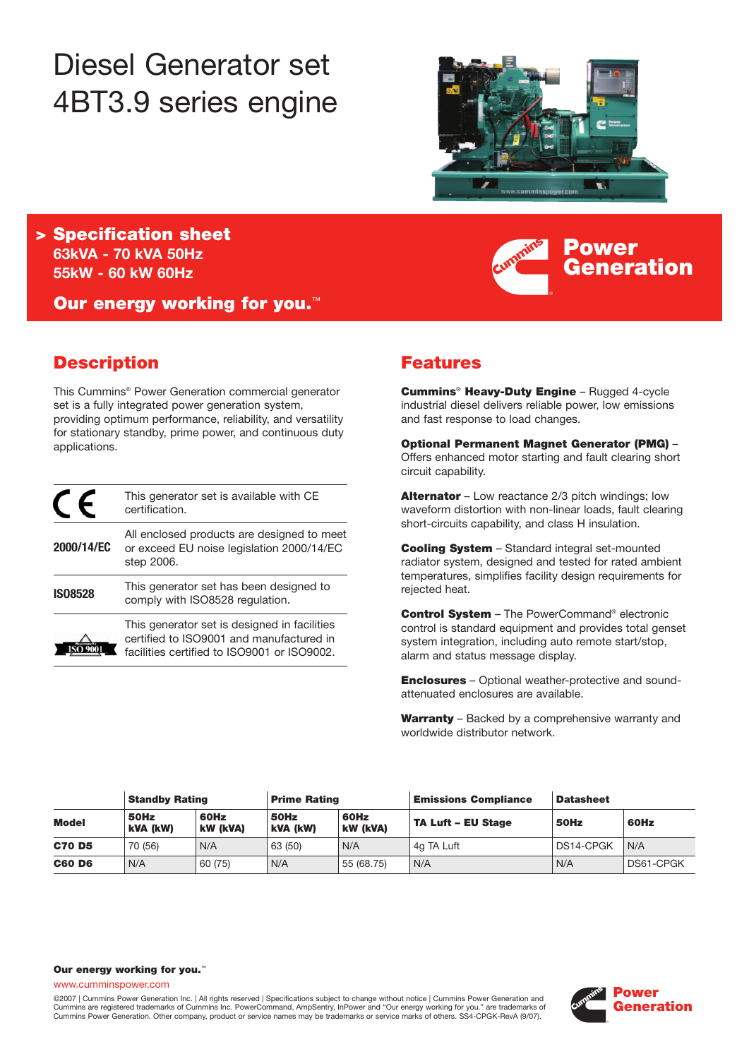# Diesel Generator set 4BT3.9 series engine



**Power**

**Generation**

**> Specification sheet 63kVA - 70 kVA 50Hz 55kW - 60 kW 60Hz**

**Our energy working for you.**™

## **Description**

This Cummins® Power Generation commercial generator set is a fully integrated power generation system, providing optimum performance, reliability, and versatility for stationary standby, prime power, and continuous duty applications.

|                | This generator set is available with CE<br>certification.                                                                               |
|----------------|-----------------------------------------------------------------------------------------------------------------------------------------|
| 2000/14/EC     | All enclosed products are designed to meet<br>or exceed EU noise legislation 2000/14/EC<br>step 2006.                                   |
| <b>IS08528</b> | This generator set has been designed to<br>comply with ISO8528 regulation.                                                              |
|                | This generator set is designed in facilities<br>certified to ISO9001 and manufactured in<br>facilities certified to ISO9001 or ISO9002. |

# **Features**

**Cummins**® **Heavy-Duty Engine** – Rugged 4-cycle industrial diesel delivers reliable power, low emissions and fast response to load changes.

**Optional Permanent Magnet Generator (PMG)** – Offers enhanced motor starting and fault clearing short circuit capability.

**Alternator** – Low reactance 2/3 pitch windings; low waveform distortion with non-linear loads, fault clearing short-circuits capability, and class H insulation.

**Cooling System** – Standard integral set-mounted radiator system, designed and tested for rated ambient temperatures, simplifies facility design requirements for rejected heat.

**Control System** – The PowerCommand® electronic control is standard equipment and provides total genset system integration, including auto remote start/stop, alarm and status message display.

**Enclosures** – Optional weather-protective and soundattenuated enclosures are available.

**Warranty** – Backed by a comprehensive warranty and worldwide distributor network.

| <b>Standby Rating</b> |                  | <b>Prime Rating</b>     |                  | <b>Emissions Compliance</b> | <b>Datasheet</b>          |           |           |
|-----------------------|------------------|-------------------------|------------------|-----------------------------|---------------------------|-----------|-----------|
| <b>Model</b>          | 50Hz<br>kVA (kW) | 60Hz<br><b>kW (kVA)</b> | 50Hz<br>kVA (kW) | 60Hz<br>kW (kVA)            | <b>TA Luft - EU Stage</b> | 50Hz      | 60Hz      |
| <b>C70 D5</b>         | 70 (56)          | N/A                     | 63 (50)          | N/A                         | 4g TA Luft                | DS14-CPGK | N/A       |
| <b>C60 D6</b>         | N/A              | 60 (75)                 | N/A              | 55 (68.75)                  | N/A                       | N/A       | DS61-CPGK |

#### **Our energy working for you.**™

www.cumminspower.com

©2007 | Cummins Power Generation Inc. | All rights reserved | Specifications subject to change without notice | Cummins Power Generation and Cummins are registered trademarks of Cummins Inc. PowerCommand, AmpSentry, InPower and "Our energy working for you." are trademarks of Cummins Power Generation. Other company, product or service names may be trademarks or service marks of others. SS4-CPGK-RevA (9/07).

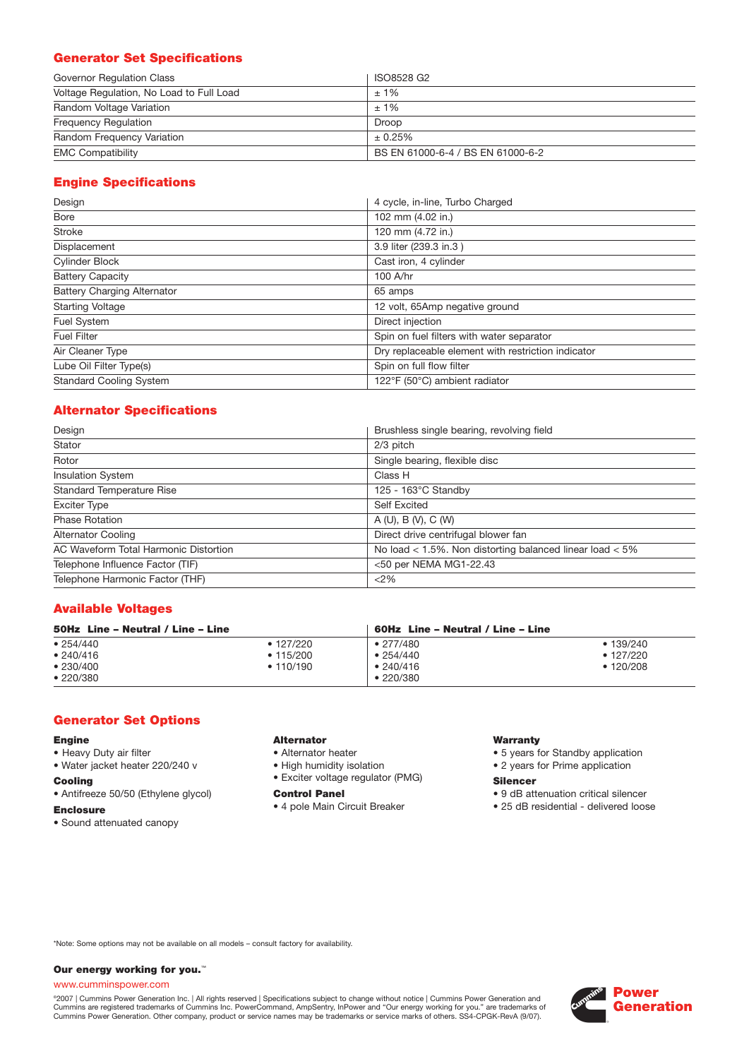## **Generator Set Specifications**

| Governor Regulation Class                | ISO8528 G2                        |
|------------------------------------------|-----------------------------------|
| Voltage Regulation, No Load to Full Load | $±1\%$                            |
| Random Voltage Variation                 | $±1\%$                            |
| <b>Frequency Regulation</b>              | Droop                             |
| Random Frequency Variation               | ± 0.25%                           |
| <b>EMC Compatibility</b>                 | BS EN 61000-6-4 / BS EN 61000-6-2 |

## **Engine Specifications**

| Design                             | 4 cycle, in-line, Turbo Charged                    |
|------------------------------------|----------------------------------------------------|
| Bore                               | 102 mm (4.02 in.)                                  |
| <b>Stroke</b>                      | 120 mm (4.72 in.)                                  |
| Displacement                       | 3.9 liter (239.3 in.3)                             |
| <b>Cylinder Block</b>              | Cast iron, 4 cylinder                              |
| <b>Battery Capacity</b>            | 100 A/hr                                           |
| <b>Battery Charging Alternator</b> | 65 amps                                            |
| <b>Starting Voltage</b>            | 12 volt, 65Amp negative ground                     |
| Fuel System                        | Direct injection                                   |
| <b>Fuel Filter</b>                 | Spin on fuel filters with water separator          |
| Air Cleaner Type                   | Dry replaceable element with restriction indicator |
| Lube Oil Filter Type(s)            | Spin on full flow filter                           |
| <b>Standard Cooling System</b>     | 122°F (50°C) ambient radiator                      |

## **Alternator Specifications**

| Design                                | Brushless single bearing, revolving field                    |
|---------------------------------------|--------------------------------------------------------------|
| Stator                                | 2/3 pitch                                                    |
| Rotor                                 | Single bearing, flexible disc                                |
| <b>Insulation System</b>              | Class H                                                      |
| <b>Standard Temperature Rise</b>      | $125 - 163^{\circ}$ C Standby                                |
| <b>Exciter Type</b>                   | <b>Self Excited</b>                                          |
| <b>Phase Rotation</b>                 | A(U), B(V), C(W)                                             |
| <b>Alternator Cooling</b>             | Direct drive centrifugal blower fan                          |
| AC Waveform Total Harmonic Distortion | No load $<$ 1.5%. Non distorting balanced linear load $<$ 5% |
| Telephone Influence Factor (TIF)      | <50 per NEMA MG1-22.43                                       |
| Telephone Harmonic Factor (THF)       | <2%                                                          |

### **Available Voltages**

| 50Hz Line - Neutral / Line - Line |                   |                   | 60Hz Line – Neutral / Line – Line |  |  |
|-----------------------------------|-------------------|-------------------|-----------------------------------|--|--|
| • 254/440                         | $\bullet$ 127/220 | $\bullet$ 277/480 | • 139/240                         |  |  |
| • 240/416                         | $\bullet$ 115/200 | •254/440          | $\cdot$ 127/220                   |  |  |
| •230/400                          | • 110/190         | •240/416          | $\cdot$ 120/208                   |  |  |
| •220/380                          |                   | $\cdot$ 220/380   |                                   |  |  |

#### **Generator Set Options**

#### **Engine**

- Heavy Duty air filter
- Water jacket heater 220/240 v

#### **Cooling**

• Antifreeze 50/50 (Ethylene glycol)

#### **Enclosure**

• Sound attenuated canopy

#### **Alternator**

- Alternator heater
- High humidity isolation
- Exciter voltage regulator (PMG)

#### **Control Panel**

• 4 pole Main Circuit Breaker

#### **Warranty**

- 5 years for Standby application
- 2 years for Prime application

#### **Silencer**

- 9 dB attenuation critical silencer
- 25 dB residential delivered loose

\*Note: Some options may not be available on all models – consult factory for availability.

#### **Our energy working for you.**™

#### www.cumminspower.com

°2007 | Cummins Power Generation Inc. | All rights reserved | Specifications subject to change without notice | Cummins Power Generation and<br>Cummins are registered trademarks of Cummins Inc. PowerCommand, AmpSentry, InPow

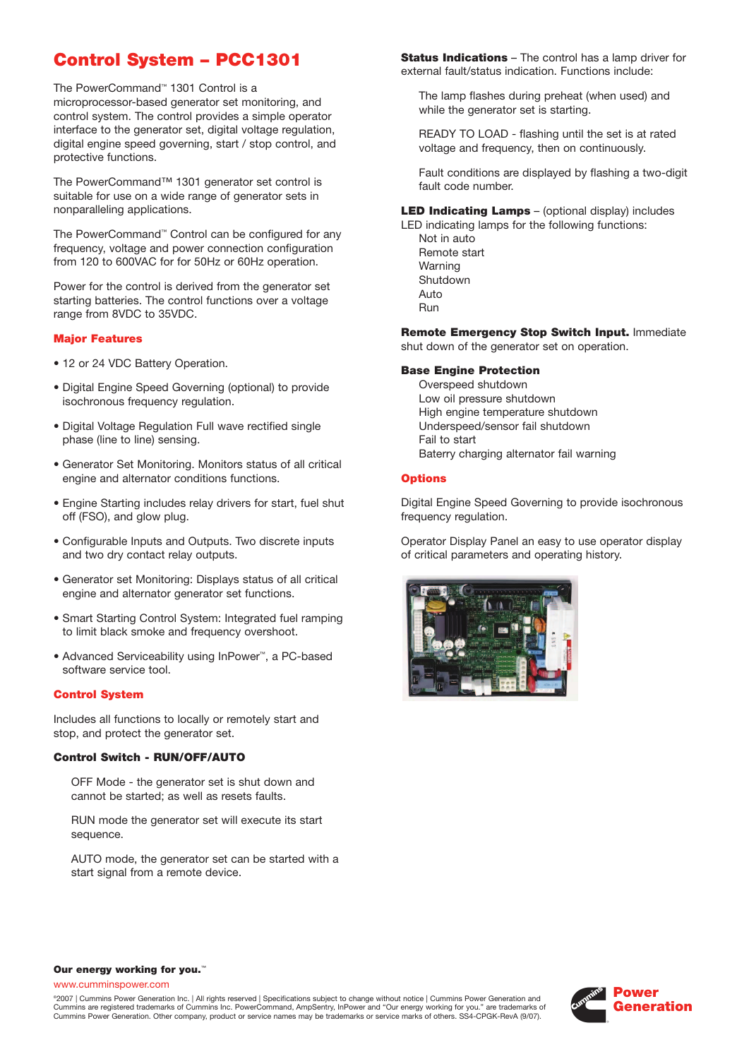# **Control System – PCC1301**

The PowerCommand™ 1301 Control is a microprocessor-based generator set monitoring, and control system. The control provides a simple operator interface to the generator set, digital voltage regulation, digital engine speed governing, start / stop control, and protective functions.

The PowerCommand™ 1301 generator set control is suitable for use on a wide range of generator sets in nonparalleling applications.

The PowerCommand™ Control can be configured for any frequency, voltage and power connection configuration from 120 to 600VAC for for 50Hz or 60Hz operation.

Power for the control is derived from the generator set starting batteries. The control functions over a voltage range from 8VDC to 35VDC.

#### **Major Features**

- 12 or 24 VDC Battery Operation.
- Digital Engine Speed Governing (optional) to provide isochronous frequency regulation.
- Digital Voltage Regulation Full wave rectified single phase (line to line) sensing.
- Generator Set Monitoring. Monitors status of all critical engine and alternator conditions functions.
- Engine Starting includes relay drivers for start, fuel shut off (FSO), and glow plug.
- Configurable Inputs and Outputs. Two discrete inputs and two dry contact relay outputs.
- Generator set Monitoring: Displays status of all critical engine and alternator generator set functions.
- Smart Starting Control System: Integrated fuel ramping to limit black smoke and frequency overshoot.
- Advanced Serviceability using InPower™, a PC-based software service tool.

#### **Control System**

Includes all functions to locally or remotely start and stop, and protect the generator set.

#### **Control Switch - RUN/OFF/AUTO**

OFF Mode - the generator set is shut down and cannot be started; as well as resets faults.

RUN mode the generator set will execute its start sequence.

AUTO mode, the generator set can be started with a start signal from a remote device.

**Status Indications** – The control has a lamp driver for external fault/status indication. Functions include:

The lamp flashes during preheat (when used) and while the generator set is starting.

READY TO LOAD - flashing until the set is at rated voltage and frequency, then on continuously.

Fault conditions are displayed by flashing a two-digit fault code number.

**LED Indicating Lamps** – (optional display) includes

LED indicating lamps for the following functions: Not in auto Remote start Warning Shutdown Auto Run

**Remote Emergency Stop Switch Input.** Immediate shut down of the generator set on operation.

#### **Base Engine Protection**

Overspeed shutdown Low oil pressure shutdown High engine temperature shutdown Underspeed/sensor fail shutdown Fail to start Baterry charging alternator fail warning

#### **Options**

Digital Engine Speed Governing to provide isochronous frequency regulation.

Operator Display Panel an easy to use operator display of critical parameters and operating history.



#### **Our energy working for you.**™

www.cumminspower.com

©2007 | Cummins Power Generation Inc. | All rights reserved | Specifications subject to change without notice | Cummins Power Generation and Cummins are registered trademarks of Cummins Inc. PowerCommand, AmpSentry, InPower and "Our energy working for you." are trademarks of Cummins Power Generation. Other company, product or service names may be trademarks or service marks of others. SS4-CPGK-RevA (9/07).